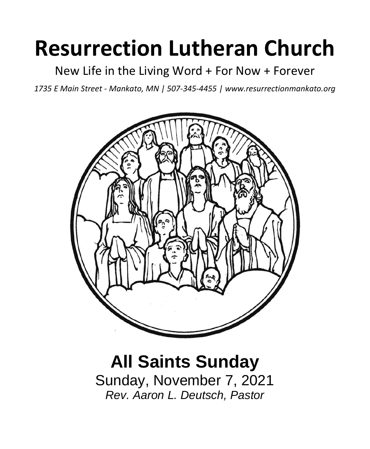# **Resurrection Lutheran Church**

New Life in the Living Word + For Now + Forever

*1735 E Main Street - Mankato, MN | 507-345-4455 | [www.resurrectionmankato.org](http://www.resurrectionmankato.org/)*



# **All Saints Sunday** Sunday, November 7, 2021 *Rev. Aaron L. Deutsch, Pastor*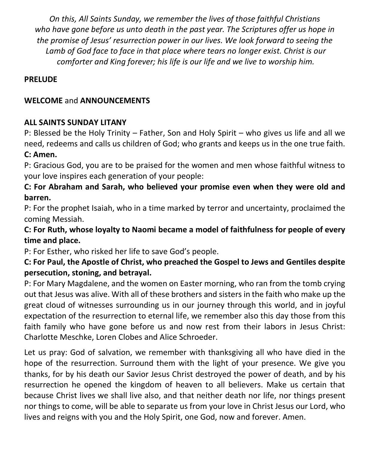*On this, All Saints Sunday, we remember the lives of those faithful Christians who have gone before us unto death in the past year. The Scriptures offer us hope in the promise of Jesus' resurrection power in our lives. We look forward to seeing the Lamb of God face to face in that place where tears no longer exist. Christ is our comforter and King forever; his life is our life and we live to worship him.*

#### **PRELUDE**

#### **WELCOME** and **ANNOUNCEMENTS**

#### **ALL SAINTS SUNDAY LITANY**

P: Blessed be the Holy Trinity – Father, Son and Holy Spirit – who gives us life and all we need, redeems and calls us children of God; who grants and keeps us in the one true faith.

#### **C: Amen.**

P: Gracious God, you are to be praised for the women and men whose faithful witness to your love inspires each generation of your people:

**C: For Abraham and Sarah, who believed your promise even when they were old and barren.** 

P: For the prophet Isaiah, who in a time marked by terror and uncertainty, proclaimed the coming Messiah.

**C: For Ruth, whose loyalty to Naomi became a model of faithfulness for people of every time and place.** 

P: For Esther, who risked her life to save God's people.

### **C: For Paul, the Apostle of Christ, who preached the Gospel to Jews and Gentiles despite persecution, stoning, and betrayal.**

P: For Mary Magdalene, and the women on Easter morning, who ran from the tomb crying out that Jesus was alive. With all of these brothers and sisters in the faith who make up the great cloud of witnesses surrounding us in our journey through this world, and in joyful expectation of the resurrection to eternal life, we remember also this day those from this faith family who have gone before us and now rest from their labors in Jesus Christ: Charlotte Meschke, Loren Clobes and Alice Schroeder.

Let us pray: God of salvation, we remember with thanksgiving all who have died in the hope of the resurrection. Surround them with the light of your presence. We give you thanks, for by his death our Savior Jesus Christ destroyed the power of death, and by his resurrection he opened the kingdom of heaven to all believers. Make us certain that because Christ lives we shall live also, and that neither death nor life, nor things present nor things to come, will be able to separate us from your love in Christ Jesus our Lord, who lives and reigns with you and the Holy Spirit, one God, now and forever. Amen.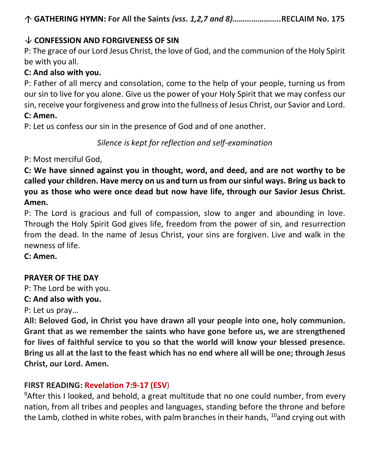# **CONFESSION AND FORGIVENESS OF SIN**

P: The grace of our Lord Jesus Christ, the love of God, and the communion of the Holy Spirit be with you all.

# **C: And also with you.**

P: Father of all mercy and consolation, come to the help of your people, turning us from our sin to live for you alone. Give us the power of your Holy Spirit that we may confess our sin, receive your forgiveness and grow into the fullness of Jesus Christ, our Savior and Lord. **C: Amen.** 

P: Let us confess our sin in the presence of God and of one another.

*Silence is kept for reflection and self-examination*

P: Most merciful God,

**C: We have sinned against you in thought, word, and deed, and are not worthy to be called your children. Have mercy on us and turn us from our sinful ways. Bring us back to you as those who were once dead but now have life, through our Savior Jesus Christ. Amen.**

P: The Lord is gracious and full of compassion, slow to anger and abounding in love. Through the Holy Spirit God gives life, freedom from the power of sin, and resurrection from the dead. In the name of Jesus Christ, your sins are forgiven. Live and walk in the newness of life.

**C: Amen.** 

# **PRAYER OF THE DAY**

P: The Lord be with you.

# **C: And also with you.**

P: Let us pray…

**All: Beloved God, in Christ you have drawn all your people into one, holy communion. Grant that as we remember the saints who have gone before us, we are strengthened for lives of faithful service to you so that the world will know your blessed presence. Bring us all at the last to the feast which has no end where all will be one; through Jesus Christ, our Lord. Amen.**

# **FIRST READING: Revelation 7:9-17 (ESV**)

<sup>9</sup>After this I looked, and behold, a great multitude that no one could number, from every nation, from all tribes and peoples and languages, standing before the throne and before the Lamb, clothed in white robes, with palm branches in their hands, <sup>10</sup>and crying out with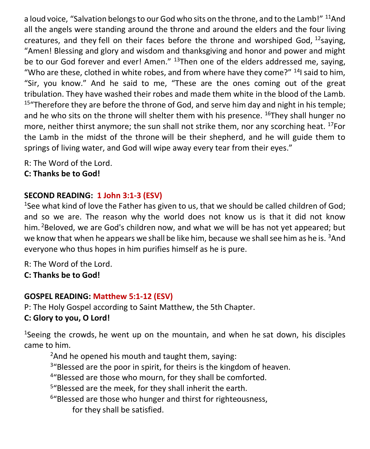a loud voice, "Salvation belongs to our God who sits on the throne, and to the Lamb!" <sup>11</sup>And all the angels were standing around the throne and around the elders and the four living creatures, and they fell on their faces before the throne and worshiped God,  $^{12}$ saying, "Amen! Blessing and glory and wisdom and thanksgiving and honor and power and might be to our God forever and ever! Amen." <sup>13</sup>Then one of the elders addressed me, saying, "Who are these, clothed in white robes, and from where have they come?"  $^{14}$  said to him, "Sir, you know." And he said to me, "These are the ones coming out of the great tribulation. They have washed their robes and made them white in the blood of the Lamb.  $15$  Therefore they are before the throne of God, and serve him day and night in his temple; and he who sits on the throne will shelter them with his presence.  $^{16}$ They shall hunger no more, neither thirst anymore; the sun shall not strike them, nor any scorching heat.  $^{17}$ For the Lamb in the midst of the throne will be their shepherd, and he will guide them to springs of living water, and God will wipe away every tear from their eyes."

R: The Word of the Lord.

**C: Thanks be to God!** 

# **SECOND READING: 1 John 3:1-3 (ESV)**

<sup>1</sup>See what kind of love the Father has given to us, that we should be called children of God; and so we are. The reason why the world does not know us is that it did not know him. <sup>2</sup>Beloved, we are God's children now, and what we will be has not yet appeared; but we know that when he appears we shall be like him, because we shall see him as he is. <sup>3</sup>And everyone who thus hopes in him purifies himself as he is pure.

R: The Word of the Lord.

**C: Thanks be to God!** 

# **GOSPEL READING: Matthew 5:1-12 (ESV)**

P: The Holy Gospel according to Saint Matthew, the 5th Chapter.

# **C: Glory to you, O Lord!**

<sup>1</sup>Seeing the crowds, he went up on the mountain, and when he sat down, his disciples came to him.

 $2$ And he opened his mouth and taught them, saying:

<sup>3</sup>"Blessed are the poor in spirit, for theirs is the kingdom of heaven.

<sup>4</sup>"Blessed are those who mourn, for they shall be comforted.

<sup>5</sup>"Blessed are the meek, for they shall inherit the earth.

<sup>6</sup>"Blessed are those who hunger and thirst for righteousness,

for they shall be satisfied.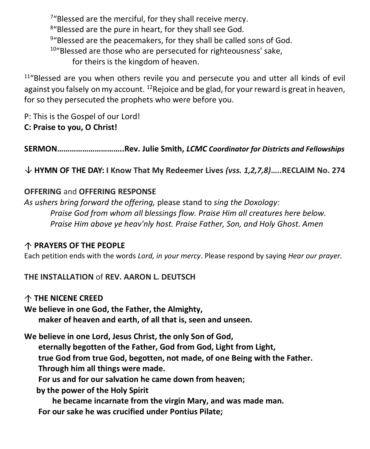<sup>7</sup>"Blessed are the merciful, for they shall receive mercy. 8"Blessed are the pure in heart, for they shall see God. <sup>9</sup>"Blessed are the peacemakers, for they shall be called sons of God. <sup>10</sup>"Blessed are those who are persecuted for righteousness' sake, for theirs is the kingdom of heaven.

 $11^{\prime\prime}$ Blessed are you when others revile you and persecute you and utter all kinds of evil against you falsely on my account. <sup>12</sup> Rejoice and be glad, for your reward is great in heaven, for so they persecuted the prophets who were before you.

P: This is the Gospel of our Lord! **C: Praise to you, O Christ!** 

**SERMON…………………………..Rev. Julie Smith,** *LCMC Coordinator for Districts and Fellowships*

**HYMN OF THE DAY: I Know That My Redeemer Lives** *(vss. 1,2,7,8)***…..RECLAIM No. 274**

#### **OFFERING** and **OFFERING RESPONSE**

*As ushers bring forward the offering,* please stand to *sing the Doxology: Praise God from whom all blessings flow. Praise Him all creatures here below. Praise Him above ye heav'nly host. Praise Father, Son, and Holy Ghost. Amen*

#### **PRAYERS OF THE PEOPLE**

Each petition ends with the words *Lord, in your mercy*. Please respond by saying *Hear our prayer.*

**THE INSTALLATION** of **REV. AARON L. DEUTSCH**

**THE NICENE CREED** 

**We believe in one God, the Father, the Almighty, maker of heaven and earth, of all that is, seen and unseen.**

**We believe in one Lord, Jesus Christ, the only Son of God,**

 **eternally begotten of the Father, God from God, Light from Light,**

 **true God from true God, begotten, not made, of one Being with the Father.**

 **Through him all things were made.**

 **For us and for our salvation he came down from heaven;**

 **by the power of the Holy Spirit**

 **he became incarnate from the virgin Mary, and was made man. For our sake he was crucified under Pontius Pilate;**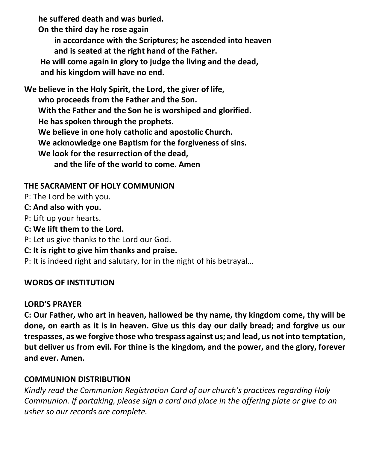**he suffered death and was buried.**

 **On the third day he rose again** 

 **in accordance with the Scriptures; he ascended into heaven and is seated at the right hand of the Father.**

 **He will come again in glory to judge the living and the dead, and his kingdom will have no end.**

**We believe in the Holy Spirit, the Lord, the giver of life, who proceeds from the Father and the Son. With the Father and the Son he is worshiped and glorified. He has spoken through the prophets. We believe in one holy catholic and apostolic Church. We acknowledge one Baptism for the forgiveness of sins. We look for the resurrection of the dead, and the life of the world to come. Amen**

### **THE SACRAMENT OF HOLY COMMUNION**

P: The Lord be with you.

#### **C: And also with you.**

- P: Lift up your hearts.
- **C: We lift them to the Lord.**
- P: Let us give thanks to the Lord our God.
- **C: It is right to give him thanks and praise.**

P: It is indeed right and salutary, for in the night of his betrayal…

# **WORDS OF INSTITUTION**

# **LORD'S PRAYER**

**C: Our Father, who art in heaven, hallowed be thy name, thy kingdom come, thy will be done, on earth as it is in heaven. Give us this day our daily bread; and forgive us our trespasses, as we forgive those who trespass against us; and lead, us not into temptation, but deliver us from evil. For thine is the kingdom, and the power, and the glory, forever and ever. Amen.**

# **COMMUNION DISTRIBUTION**

*Kindly read the Communion Registration Card of our church's practices regarding Holy Communion. If partaking, please sign a card and place in the offering plate or give to an usher so our records are complete.*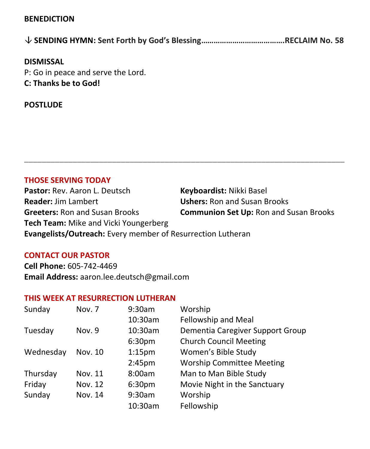#### **BENEDICTION**

|--|--|--|

#### **DISMISSAL**

P: Go in peace and serve the Lord. **C: Thanks be to God!**

#### **POSTLUDE**

#### **THOSE SERVING TODAY**

**Pastor:** Rev. Aaron L. Deutsch **Keyboardist:** Nikki Basel **Reader:** Jim Lambert **Ushers:** Ron and Susan Brooks **Greeters:** Ron and Susan Brooks **Communion Set Up:** Ron and Susan Brooks **Tech Team:** Mike and Vicki Youngerberg **Evangelists/Outreach:** Every member of Resurrection Lutheran

**\_\_\_\_\_\_\_\_\_\_\_\_\_\_\_\_\_\_\_\_\_\_\_\_\_\_\_\_\_\_\_\_\_\_\_\_\_\_\_\_\_\_\_\_\_\_\_\_\_\_\_\_\_\_\_\_\_\_\_\_\_\_\_\_\_\_\_\_\_\_\_\_\_**

#### **CONTACT OUR PASTOR**

**Cell Phone:** 605-742-4469 **Email Address:** [aaron.lee.deutsch@gmail.com](mailto:aaron.lee.deutsch@gmail.com)

#### **THIS WEEK AT RESURRECTION LUTHERAN**

| Sunday    | Nov. 7  | 9:30am             | Worship                          |
|-----------|---------|--------------------|----------------------------------|
|           |         | 10:30am            | Fellowship and Meal              |
| Tuesday   | Nov. 9  | 10:30am            | Dementia Caregiver Support Group |
|           |         | 6:30 <sub>pm</sub> | <b>Church Council Meeting</b>    |
| Wednesday | Nov. 10 | 1:15 <sub>pm</sub> | Women's Bible Study              |
|           |         | 2:45 <sub>pm</sub> | <b>Worship Committee Meeting</b> |
| Thursday  | Nov. 11 | 8:00am             | Man to Man Bible Study           |
| Friday    | Nov. 12 | 6:30 <sub>pm</sub> | Movie Night in the Sanctuary     |
| Sunday    | Nov. 14 | 9:30am             | Worship                          |
|           |         | 10:30am            | Fellowship                       |